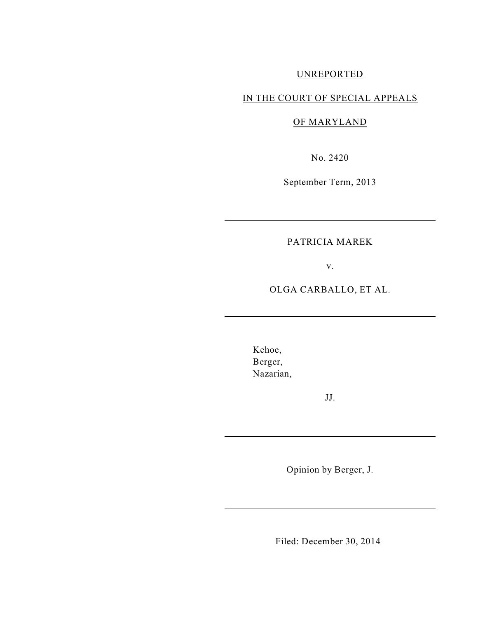# UNREPORTED

## IN THE COURT OF SPECIAL APPEALS

OF MARYLAND

No. 2420

September Term, 2013

## PATRICIA MAREK

v.

OLGA CARBALLO, ET AL.

Kehoe, Berger, Nazarian,

JJ.

Opinion by Berger, J.

Filed: December 30, 2014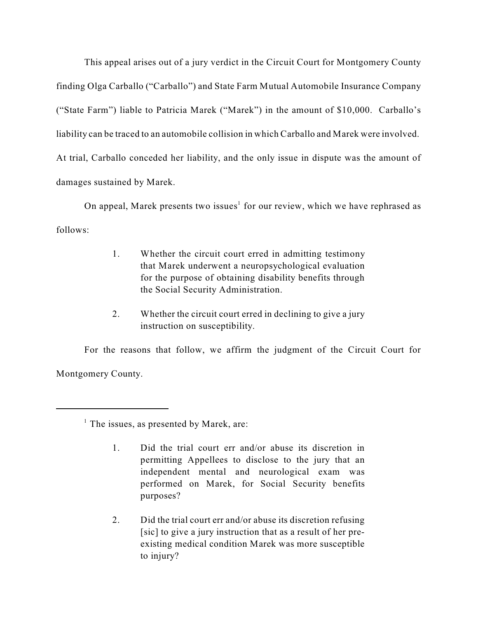This appeal arises out of a jury verdict in the Circuit Court for Montgomery County finding Olga Carballo ("Carballo") and State Farm Mutual Automobile Insurance Company ("State Farm") liable to Patricia Marek ("Marek") in the amount of \$10,000. Carballo's liability can be traced to an automobile collision in which Carballo and Marek were involved. At trial, Carballo conceded her liability, and the only issue in dispute was the amount of damages sustained by Marek.

On appeal, Marek presents two issues<sup>1</sup> for our review, which we have rephrased as follows:

- 1. Whether the circuit court erred in admitting testimony that Marek underwent a neuropsychological evaluation for the purpose of obtaining disability benefits through the Social Security Administration.
- 2. Whether the circuit court erred in declining to give a jury instruction on susceptibility.

For the reasons that follow, we affirm the judgment of the Circuit Court for Montgomery County.

- 1. Did the trial court err and/or abuse its discretion in permitting Appellees to disclose to the jury that an independent mental and neurological exam was performed on Marek, for Social Security benefits purposes?
- 2. Did the trial court err and/or abuse its discretion refusing [sic] to give a jury instruction that as a result of her preexisting medical condition Marek was more susceptible to injury?

 $<sup>1</sup>$  The issues, as presented by Marek, are:</sup>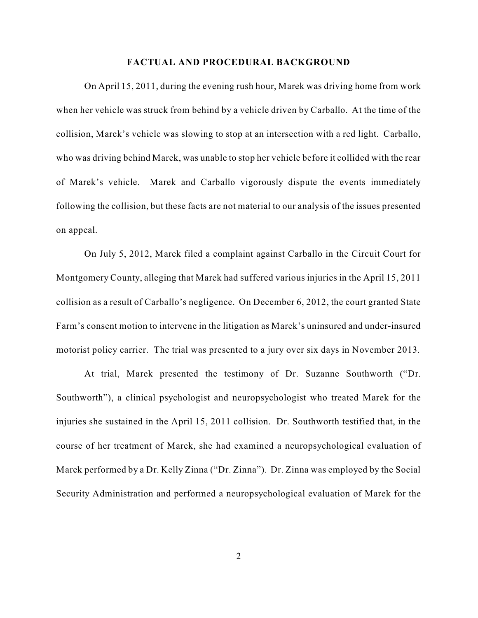#### **FACTUAL AND PROCEDURAL BACKGROUND**

On April 15, 2011, during the evening rush hour, Marek was driving home from work when her vehicle was struck from behind by a vehicle driven by Carballo. At the time of the collision, Marek's vehicle was slowing to stop at an intersection with a red light. Carballo, who was driving behind Marek, was unable to stop her vehicle before it collided with the rear of Marek's vehicle. Marek and Carballo vigorously dispute the events immediately following the collision, but these facts are not material to our analysis of the issues presented on appeal.

On July 5, 2012, Marek filed a complaint against Carballo in the Circuit Court for Montgomery County, alleging that Marek had suffered various injuries in the April 15, 2011 collision as a result of Carballo's negligence. On December 6, 2012, the court granted State Farm's consent motion to intervene in the litigation as Marek's uninsured and under-insured motorist policy carrier. The trial was presented to a jury over six days in November 2013.

At trial, Marek presented the testimony of Dr. Suzanne Southworth ("Dr. Southworth"), a clinical psychologist and neuropsychologist who treated Marek for the injuries she sustained in the April 15, 2011 collision. Dr. Southworth testified that, in the course of her treatment of Marek, she had examined a neuropsychological evaluation of Marek performed by a Dr. Kelly Zinna ("Dr. Zinna"). Dr. Zinna was employed by the Social Security Administration and performed a neuropsychological evaluation of Marek for the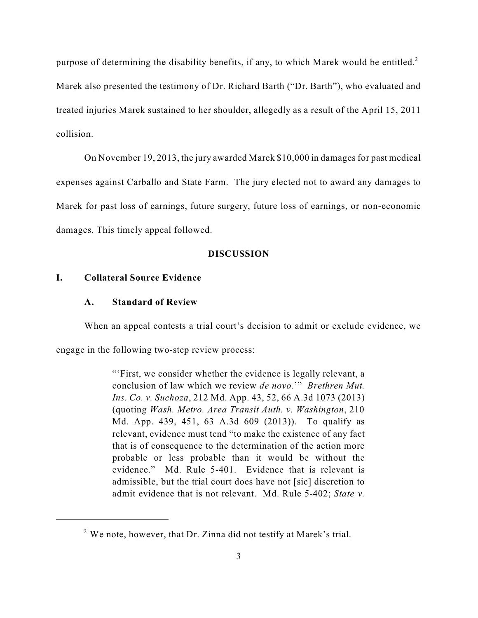purpose of determining the disability benefits, if any, to which Marek would be entitled.<sup>2</sup> Marek also presented the testimony of Dr. Richard Barth ("Dr. Barth"), who evaluated and treated injuries Marek sustained to her shoulder, allegedly as a result of the April 15, 2011 collision.

On November 19, 2013, the jury awarded Marek \$10,000 in damages for past medical expenses against Carballo and State Farm. The jury elected not to award any damages to Marek for past loss of earnings, future surgery, future loss of earnings, or non-economic damages. This timely appeal followed.

### **DISCUSSION**

### **I. Collateral Source Evidence**

## **A. Standard of Review**

When an appeal contests a trial court's decision to admit or exclude evidence, we

engage in the following two-step review process:

"'First, we consider whether the evidence is legally relevant, a conclusion of law which we review *de novo*.'" *Brethren Mut. Ins. Co. v. Suchoza*, 212 Md. App. 43, 52, 66 A.3d 1073 (2013) (quoting *Wash. Metro. Area Transit Auth. v. Washington*, 210 Md. App. 439, 451, 63 A.3d 609 (2013)). To qualify as relevant, evidence must tend "to make the existence of any fact that is of consequence to the determination of the action more probable or less probable than it would be without the evidence." Md. Rule 5-401. Evidence that is relevant is admissible, but the trial court does have not [sic] discretion to admit evidence that is not relevant. Md. Rule 5-402; *State v.*

 $2$  We note, however, that Dr. Zinna did not testify at Marek's trial.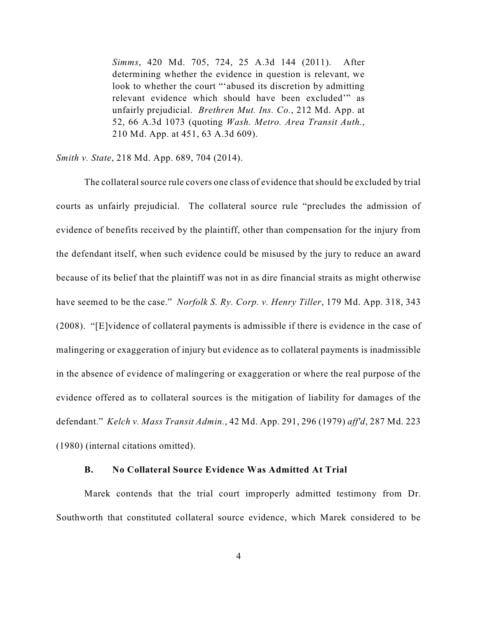*Simms*, 420 Md. 705, 724, 25 A.3d 144 (2011). After determining whether the evidence in question is relevant, we look to whether the court "'abused its discretion by admitting relevant evidence which should have been excluded'" as unfairly prejudicial. *Brethren Mut. Ins. Co.*, 212 Md. App. at 52, 66 A.3d 1073 (quoting *Wash. Metro. Area Transit Auth.*, 210 Md. App. at 451, 63 A.3d 609).

*Smith v. State*, 218 Md. App. 689, 704 (2014).

The collateral source rule covers one class of evidence that should be excluded by trial courts as unfairly prejudicial. The collateral source rule "precludes the admission of evidence of benefits received by the plaintiff, other than compensation for the injury from the defendant itself, when such evidence could be misused by the jury to reduce an award because of its belief that the plaintiff was not in as dire financial straits as might otherwise have seemed to be the case." *Norfolk S. Ry. Corp. v. Henry Tiller*, 179 Md. App. 318, 343 (2008). "[E]vidence of collateral payments is admissible if there is evidence in the case of malingering or exaggeration of injury but evidence as to collateral payments is inadmissible in the absence of evidence of malingering or exaggeration or where the real purpose of the evidence offered as to collateral sources is the mitigation of liability for damages of the defendant." *Kelch v. Mass Transit Admin.*, 42 Md. App. 291, 296 (1979) *aff'd*, 287 Md. 223 (1980) (internal citations omitted).

## **B. No Collateral Source Evidence Was Admitted At Trial**

Marek contends that the trial court improperly admitted testimony from Dr. Southworth that constituted collateral source evidence, which Marek considered to be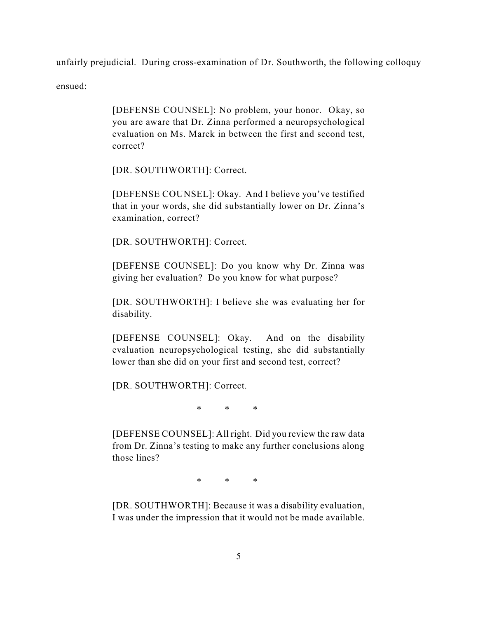unfairly prejudicial. During cross-examination of Dr. Southworth, the following colloquy

ensued:

[DEFENSE COUNSEL]: No problem, your honor. Okay, so you are aware that Dr. Zinna performed a neuropsychological evaluation on Ms. Marek in between the first and second test, correct?

[DR. SOUTHWORTH]: Correct.

[DEFENSE COUNSEL]: Okay. And I believe you've testified that in your words, she did substantially lower on Dr. Zinna's examination, correct?

[DR. SOUTHWORTH]: Correct.

[DEFENSE COUNSEL]: Do you know why Dr. Zinna was giving her evaluation? Do you know for what purpose?

[DR. SOUTHWORTH]: I believe she was evaluating her for disability.

[DEFENSE COUNSEL]: Okay. And on the disability evaluation neuropsychological testing, she did substantially lower than she did on your first and second test, correct?

[DR. SOUTHWORTH]: Correct.

\* \* \*

[DEFENSE COUNSEL]: All right. Did you review the raw data from Dr. Zinna's testing to make any further conclusions along those lines?

\* \* \*

[DR. SOUTHWORTH]: Because it was a disability evaluation, I was under the impression that it would not be made available.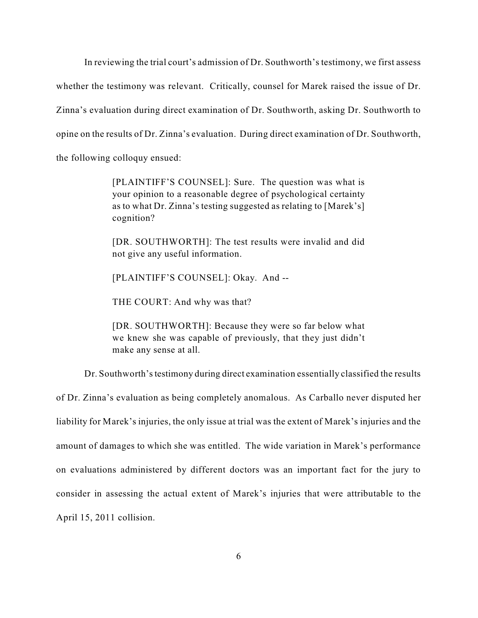In reviewing the trial court's admission of Dr. Southworth's testimony, we first assess whether the testimony was relevant. Critically, counsel for Marek raised the issue of Dr. Zinna's evaluation during direct examination of Dr. Southworth, asking Dr. Southworth to opine on the results of Dr. Zinna's evaluation. During direct examination of Dr. Southworth, the following colloquy ensued:

> [PLAINTIFF'S COUNSEL]: Sure. The question was what is your opinion to a reasonable degree of psychological certainty as to what Dr. Zinna's testing suggested as relating to [Marek's] cognition?

> [DR. SOUTHWORTH]: The test results were invalid and did not give any useful information.

[PLAINTIFF'S COUNSEL]: Okay. And --

THE COURT: And why was that?

[DR. SOUTHWORTH]: Because they were so far below what we knew she was capable of previously, that they just didn't make any sense at all.

Dr. Southworth's testimony during direct examination essentially classified the results

of Dr. Zinna's evaluation as being completely anomalous. As Carballo never disputed her liability for Marek's injuries, the only issue at trial was the extent of Marek's injuries and the amount of damages to which she was entitled. The wide variation in Marek's performance on evaluations administered by different doctors was an important fact for the jury to consider in assessing the actual extent of Marek's injuries that were attributable to the April 15, 2011 collision.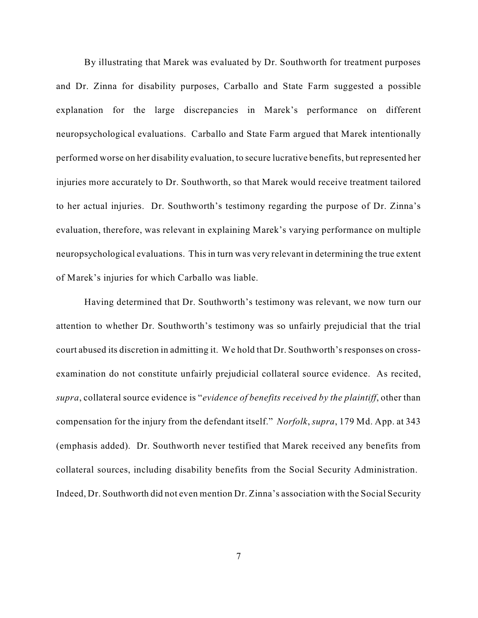By illustrating that Marek was evaluated by Dr. Southworth for treatment purposes and Dr. Zinna for disability purposes, Carballo and State Farm suggested a possible explanation for the large discrepancies in Marek's performance on different neuropsychological evaluations. Carballo and State Farm argued that Marek intentionally performed worse on her disability evaluation, to secure lucrative benefits, but represented her injuries more accurately to Dr. Southworth, so that Marek would receive treatment tailored to her actual injuries. Dr. Southworth's testimony regarding the purpose of Dr. Zinna's evaluation, therefore, was relevant in explaining Marek's varying performance on multiple neuropsychological evaluations. Thisin turn was very relevant in determining the true extent of Marek's injuries for which Carballo was liable.

Having determined that Dr. Southworth's testimony was relevant, we now turn our attention to whether Dr. Southworth's testimony was so unfairly prejudicial that the trial court abused its discretion in admitting it. We hold that Dr. Southworth's responses on crossexamination do not constitute unfairly prejudicial collateral source evidence. As recited, *supra*, collateral source evidence is "*evidence of benefits received by the plaintiff*, other than compensation for the injury from the defendant itself." *Norfolk*, *supra*, 179 Md. App. at 343 (emphasis added). Dr. Southworth never testified that Marek received any benefits from collateral sources, including disability benefits from the Social Security Administration. Indeed, Dr. Southworth did not even mention Dr. Zinna's association with the Social Security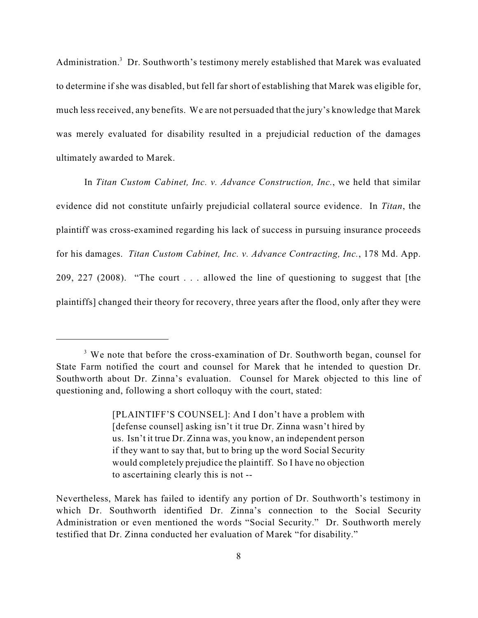Administration.<sup>3</sup> Dr. Southworth's testimony merely established that Marek was evaluated to determine if she was disabled, but fell far short of establishing that Marek was eligible for, much less received, any benefits. We are not persuaded that the jury's knowledge that Marek was merely evaluated for disability resulted in a prejudicial reduction of the damages ultimately awarded to Marek.

In *Titan Custom Cabinet, Inc. v. Advance Construction, Inc.*, we held that similar evidence did not constitute unfairly prejudicial collateral source evidence. In *Titan*, the plaintiff was cross-examined regarding his lack of success in pursuing insurance proceeds for his damages. *Titan Custom Cabinet, Inc. v. Advance Contracting, Inc.*, 178 Md. App. 209, 227 (2008). "The court . . . allowed the line of questioning to suggest that [the plaintiffs] changed their theory for recovery, three years after the flood, only after they were

 $3$  We note that before the cross-examination of Dr. Southworth began, counsel for State Farm notified the court and counsel for Marek that he intended to question Dr. Southworth about Dr. Zinna's evaluation. Counsel for Marek objected to this line of questioning and, following a short colloquy with the court, stated:

<sup>[</sup>PLAINTIFF'S COUNSEL]: And I don't have a problem with [defense counsel] asking isn't it true Dr. Zinna wasn't hired by us. Isn't it true Dr. Zinna was, you know, an independent person if they want to say that, but to bring up the word Social Security would completely prejudice the plaintiff. So I have no objection to ascertaining clearly this is not --

Nevertheless, Marek has failed to identify any portion of Dr. Southworth's testimony in which Dr. Southworth identified Dr. Zinna's connection to the Social Security Administration or even mentioned the words "Social Security." Dr. Southworth merely testified that Dr. Zinna conducted her evaluation of Marek "for disability."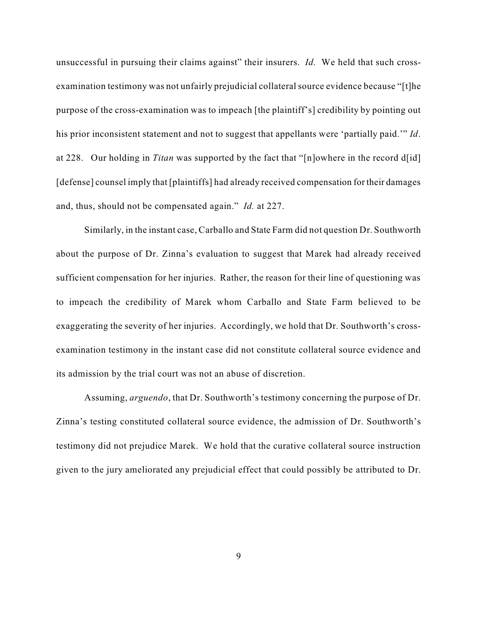unsuccessful in pursuing their claims against" their insurers. *Id.* We held that such crossexamination testimony was not unfairly prejudicial collateral source evidence because "[t]he purpose of the cross-examination was to impeach [the plaintiff's] credibility by pointing out his prior inconsistent statement and not to suggest that appellants were 'partially paid.'" *Id*. at 228. Our holding in *Titan* was supported by the fact that "[n]owhere in the record d[id] [defense] counsel imply that [plaintiffs] had already received compensation for their damages and, thus, should not be compensated again." *Id.* at 227.

Similarly, in the instant case, Carballo and State Farm did not question Dr. Southworth about the purpose of Dr. Zinna's evaluation to suggest that Marek had already received sufficient compensation for her injuries. Rather, the reason for their line of questioning was to impeach the credibility of Marek whom Carballo and State Farm believed to be exaggerating the severity of her injuries. Accordingly, we hold that Dr. Southworth's crossexamination testimony in the instant case did not constitute collateral source evidence and its admission by the trial court was not an abuse of discretion.

Assuming, *arguendo*, that Dr. Southworth's testimony concerning the purpose of Dr. Zinna's testing constituted collateral source evidence, the admission of Dr. Southworth's testimony did not prejudice Marek. We hold that the curative collateral source instruction given to the jury ameliorated any prejudicial effect that could possibly be attributed to Dr.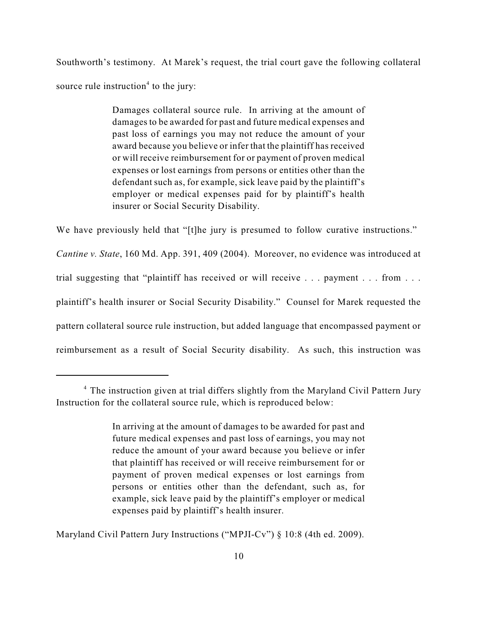Southworth's testimony. At Marek's request, the trial court gave the following collateral source rule instruction<sup>4</sup> to the jury:

> Damages collateral source rule. In arriving at the amount of damages to be awarded for past and future medical expenses and past loss of earnings you may not reduce the amount of your award because you believe or infer that the plaintiff has received or will receive reimbursement for or payment of proven medical expenses or lost earnings from persons or entities other than the defendant such as, for example, sick leave paid by the plaintiff's employer or medical expenses paid for by plaintiff's health insurer or Social Security Disability.

We have previously held that "[t]he jury is presumed to follow curative instructions." *Cantine v. State*, 160 Md. App. 391, 409 (2004). Moreover, no evidence was introduced at trial suggesting that "plaintiff has received or will receive . . . payment . . . from . . . plaintiff's health insurer or Social Security Disability." Counsel for Marek requested the pattern collateral source rule instruction, but added language that encompassed payment or reimbursement as a result of Social Security disability. As such, this instruction was

Maryland Civil Pattern Jury Instructions ("MPJI-Cv") § 10:8 (4th ed. 2009).

<sup>&</sup>lt;sup>4</sup> The instruction given at trial differs slightly from the Maryland Civil Pattern Jury Instruction for the collateral source rule, which is reproduced below:

In arriving at the amount of damages to be awarded for past and future medical expenses and past loss of earnings, you may not reduce the amount of your award because you believe or infer that plaintiff has received or will receive reimbursement for or payment of proven medical expenses or lost earnings from persons or entities other than the defendant, such as, for example, sick leave paid by the plaintiff's employer or medical expenses paid by plaintiff's health insurer.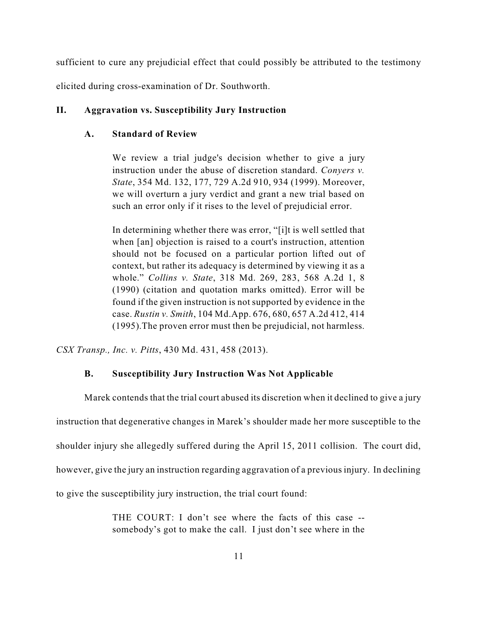sufficient to cure any prejudicial effect that could possibly be attributed to the testimony

elicited during cross-examination of Dr. Southworth.

### **II. Aggravation vs. Susceptibility Jury Instruction**

## **A. Standard of Review**

We review a trial judge's decision whether to give a jury instruction under the abuse of discretion standard. *Conyers v. State*, 354 Md. 132, 177, 729 A.2d 910, 934 (1999). Moreover, we will overturn a jury verdict and grant a new trial based on such an error only if it rises to the level of prejudicial error.

In determining whether there was error, "[i]t is well settled that when [an] objection is raised to a court's instruction, attention should not be focused on a particular portion lifted out of context, but rather its adequacy is determined by viewing it as a whole." *Collins v. State*, 318 Md. 269, 283, 568 A.2d 1, 8 (1990) (citation and quotation marks omitted). Error will be found if the given instruction is not supported by evidence in the case. *Rustin v. Smith*, 104 Md.App. 676, 680, 657 A.2d 412, 414 (1995).The proven error must then be prejudicial, not harmless.

*CSX Transp., Inc. v. Pitts*, 430 Md. 431, 458 (2013).

## **B. Susceptibility Jury Instruction Was Not Applicable**

Marek contends that the trial court abused its discretion when it declined to give a jury instruction that degenerative changes in Marek's shoulder made her more susceptible to the shoulder injury she allegedly suffered during the April 15, 2011 collision. The court did, however, give the jury an instruction regarding aggravation of a previous injury. In declining to give the susceptibility jury instruction, the trial court found:

> THE COURT: I don't see where the facts of this case - somebody's got to make the call. I just don't see where in the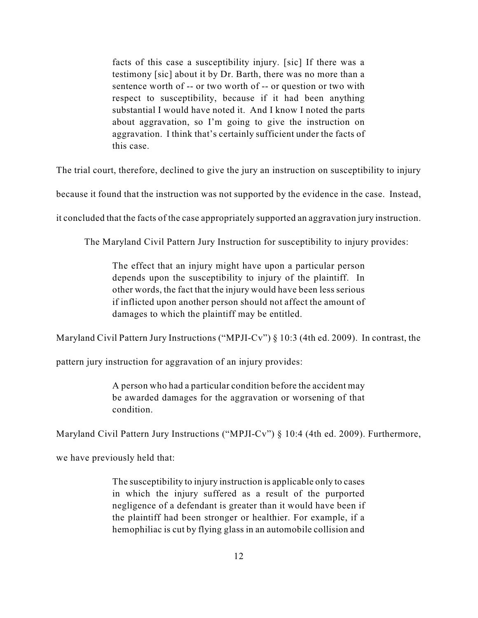facts of this case a susceptibility injury. [sic] If there was a testimony [sic] about it by Dr. Barth, there was no more than a sentence worth of -- or two worth of -- or question or two with respect to susceptibility, because if it had been anything substantial I would have noted it. And I know I noted the parts about aggravation, so I'm going to give the instruction on aggravation. I think that's certainly sufficient under the facts of this case.

The trial court, therefore, declined to give the jury an instruction on susceptibility to injury

because it found that the instruction was not supported by the evidence in the case. Instead,

it concluded that the facts of the case appropriately supported an aggravation jury instruction.

The Maryland Civil Pattern Jury Instruction for susceptibility to injury provides:

The effect that an injury might have upon a particular person depends upon the susceptibility to injury of the plaintiff. In other words, the fact that the injury would have been less serious if inflicted upon another person should not affect the amount of damages to which the plaintiff may be entitled.

Maryland Civil Pattern Jury Instructions ("MPJI-Cv") § 10:3 (4th ed. 2009). In contrast, the

pattern jury instruction for aggravation of an injury provides:

A person who had a particular condition before the accident may be awarded damages for the aggravation or worsening of that condition.

Maryland Civil Pattern Jury Instructions ("MPJI-Cv") § 10:4 (4th ed. 2009). Furthermore,

we have previously held that:

The susceptibility to injury instruction is applicable only to cases in which the injury suffered as a result of the purported negligence of a defendant is greater than it would have been if the plaintiff had been stronger or healthier. For example, if a hemophiliac is cut by flying glass in an automobile collision and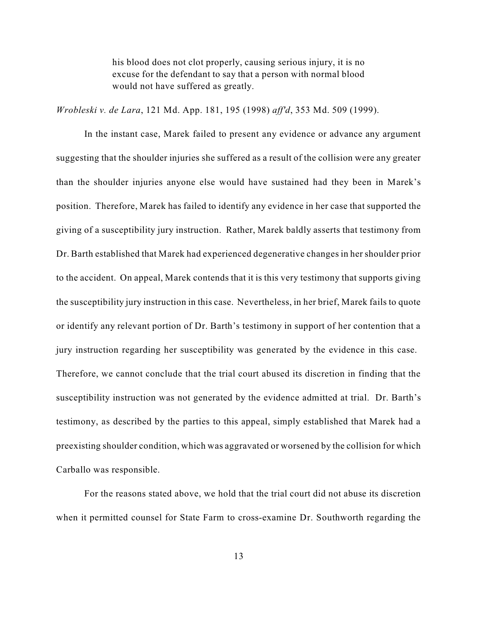his blood does not clot properly, causing serious injury, it is no excuse for the defendant to say that a person with normal blood would not have suffered as greatly.

*Wrobleski v. de Lara*, 121 Md. App. 181, 195 (1998) *aff'd*, 353 Md. 509 (1999).

In the instant case, Marek failed to present any evidence or advance any argument suggesting that the shoulder injuries she suffered as a result of the collision were any greater than the shoulder injuries anyone else would have sustained had they been in Marek's position. Therefore, Marek has failed to identify any evidence in her case that supported the giving of a susceptibility jury instruction. Rather, Marek baldly asserts that testimony from Dr. Barth established that Marek had experienced degenerative changes in her shoulder prior to the accident. On appeal, Marek contends that it is this very testimony that supports giving the susceptibility jury instruction in this case. Nevertheless, in her brief, Marek fails to quote or identify any relevant portion of Dr. Barth's testimony in support of her contention that a jury instruction regarding her susceptibility was generated by the evidence in this case. Therefore, we cannot conclude that the trial court abused its discretion in finding that the susceptibility instruction was not generated by the evidence admitted at trial. Dr. Barth's testimony, as described by the parties to this appeal, simply established that Marek had a preexisting shoulder condition, which was aggravated or worsened by the collision for which Carballo was responsible.

For the reasons stated above, we hold that the trial court did not abuse its discretion when it permitted counsel for State Farm to cross-examine Dr. Southworth regarding the